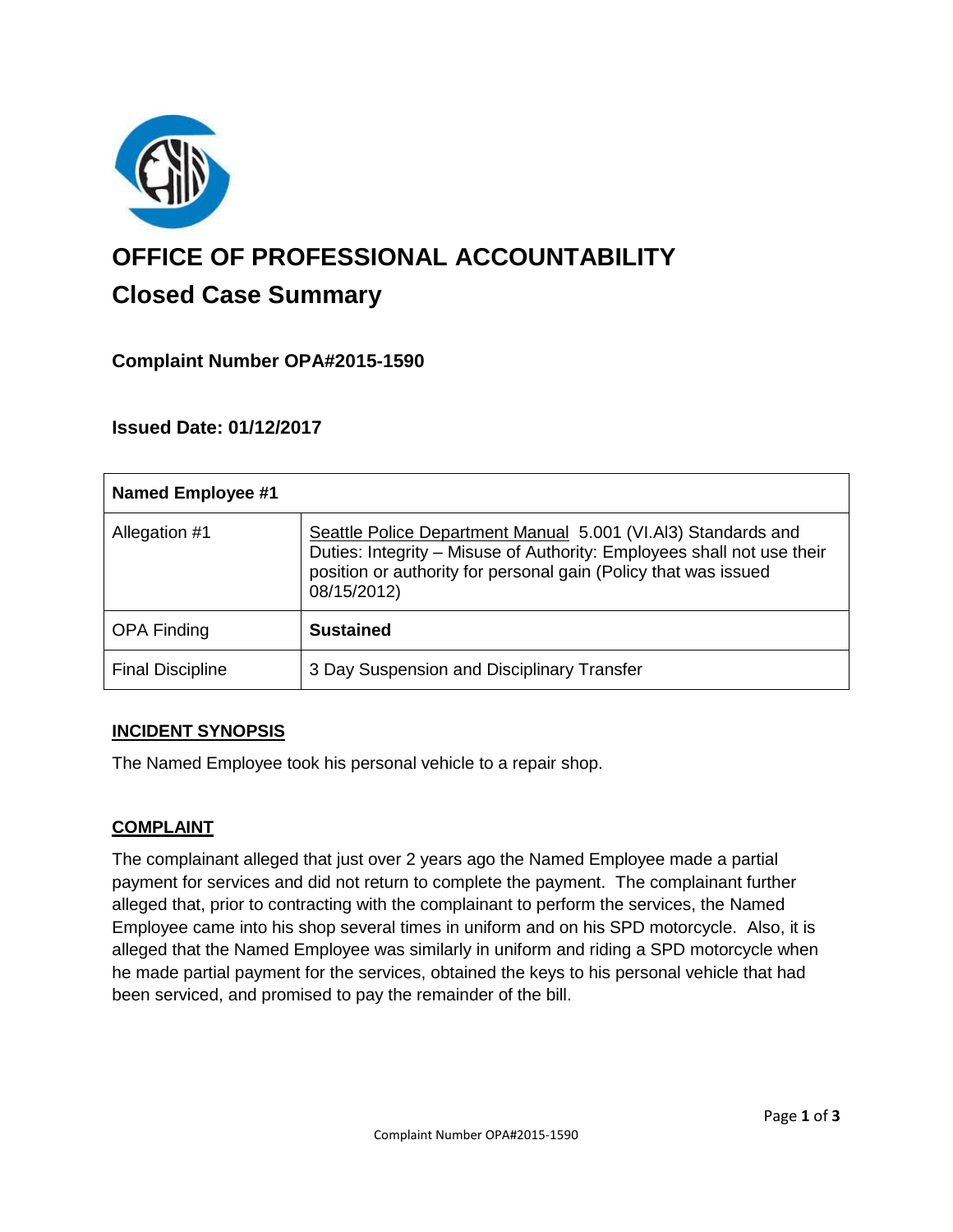

# **OFFICE OF PROFESSIONAL ACCOUNTABILITY Closed Case Summary**

## **Complaint Number OPA#2015-1590**

## **Issued Date: 01/12/2017**

| <b>Named Employee #1</b> |                                                                                                                                                                                                                           |
|--------------------------|---------------------------------------------------------------------------------------------------------------------------------------------------------------------------------------------------------------------------|
| Allegation #1            | Seattle Police Department Manual 5.001 (VI.Al3) Standards and<br>Duties: Integrity - Misuse of Authority: Employees shall not use their<br>position or authority for personal gain (Policy that was issued<br>08/15/2012) |
| <b>OPA Finding</b>       | <b>Sustained</b>                                                                                                                                                                                                          |
| <b>Final Discipline</b>  | 3 Day Suspension and Disciplinary Transfer                                                                                                                                                                                |

## **INCIDENT SYNOPSIS**

The Named Employee took his personal vehicle to a repair shop.

#### **COMPLAINT**

The complainant alleged that just over 2 years ago the Named Employee made a partial payment for services and did not return to complete the payment. The complainant further alleged that, prior to contracting with the complainant to perform the services, the Named Employee came into his shop several times in uniform and on his SPD motorcycle. Also, it is alleged that the Named Employee was similarly in uniform and riding a SPD motorcycle when he made partial payment for the services, obtained the keys to his personal vehicle that had been serviced, and promised to pay the remainder of the bill.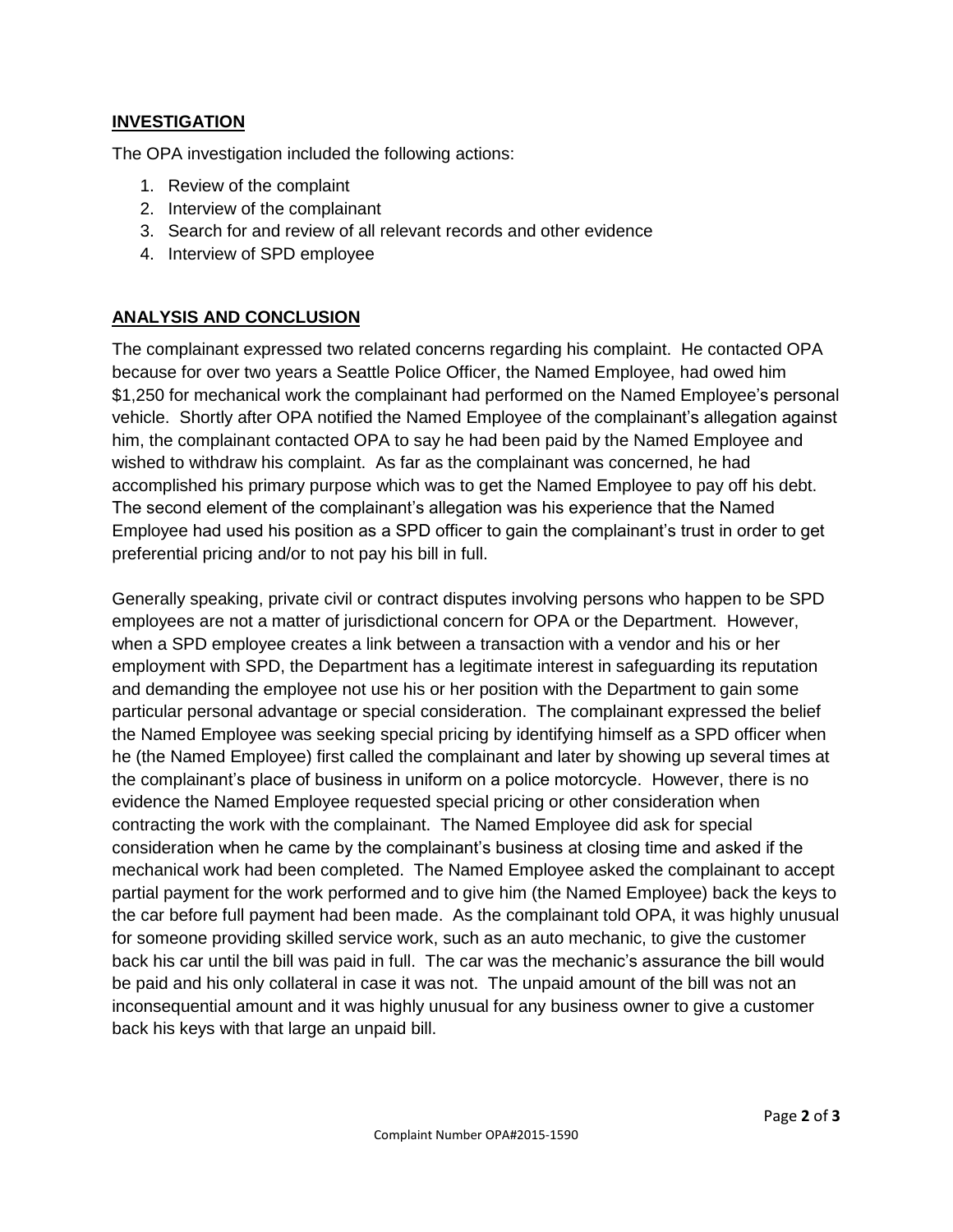#### **INVESTIGATION**

The OPA investigation included the following actions:

- 1. Review of the complaint
- 2. Interview of the complainant
- 3. Search for and review of all relevant records and other evidence
- 4. Interview of SPD employee

## **ANALYSIS AND CONCLUSION**

The complainant expressed two related concerns regarding his complaint. He contacted OPA because for over two years a Seattle Police Officer, the Named Employee, had owed him \$1,250 for mechanical work the complainant had performed on the Named Employee's personal vehicle. Shortly after OPA notified the Named Employee of the complainant's allegation against him, the complainant contacted OPA to say he had been paid by the Named Employee and wished to withdraw his complaint. As far as the complainant was concerned, he had accomplished his primary purpose which was to get the Named Employee to pay off his debt. The second element of the complainant's allegation was his experience that the Named Employee had used his position as a SPD officer to gain the complainant's trust in order to get preferential pricing and/or to not pay his bill in full.

Generally speaking, private civil or contract disputes involving persons who happen to be SPD employees are not a matter of jurisdictional concern for OPA or the Department. However, when a SPD employee creates a link between a transaction with a vendor and his or her employment with SPD, the Department has a legitimate interest in safeguarding its reputation and demanding the employee not use his or her position with the Department to gain some particular personal advantage or special consideration. The complainant expressed the belief the Named Employee was seeking special pricing by identifying himself as a SPD officer when he (the Named Employee) first called the complainant and later by showing up several times at the complainant's place of business in uniform on a police motorcycle. However, there is no evidence the Named Employee requested special pricing or other consideration when contracting the work with the complainant. The Named Employee did ask for special consideration when he came by the complainant's business at closing time and asked if the mechanical work had been completed. The Named Employee asked the complainant to accept partial payment for the work performed and to give him (the Named Employee) back the keys to the car before full payment had been made. As the complainant told OPA, it was highly unusual for someone providing skilled service work, such as an auto mechanic, to give the customer back his car until the bill was paid in full. The car was the mechanic's assurance the bill would be paid and his only collateral in case it was not. The unpaid amount of the bill was not an inconsequential amount and it was highly unusual for any business owner to give a customer back his keys with that large an unpaid bill.